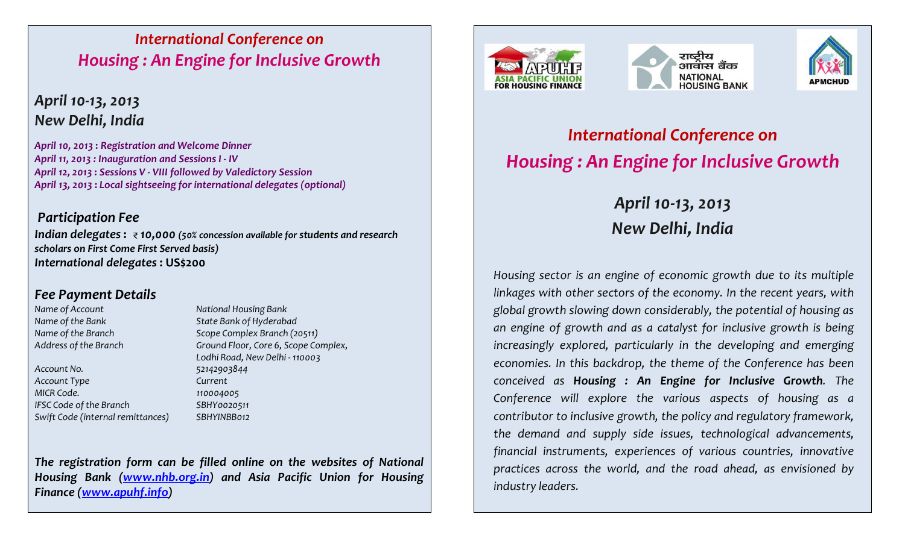## International Conference on Housing : An Engine for Inclusive Growth

## April 10-13, 2013 New Delhi, India

April 10, 2013 : Registration and Welcome Dinner April 11, 2013 : Inauguration and Sessions I - IV April 12, 2013 : Sessions V - VIII followed by Valedictory Session April 13, 2013 : Local sightseeing for international delegates (optional)

### Participation Fee

Indian delegates:  $\overline{\epsilon}$  10,000 (50% concession available for students and research scholars on First Come First Served basis)International delegates : US\$200

### Fee Payment Details

Account No. 62142903844 Account Type Current MICR Code. 110004005 IFSC Code of the Branch SBHY0020511 Swift Code (internal remittances) SBHYINBB012

Name of Account National Housing Bank Name of the Bank State Bank of Hyderabad Name of the Branch Scope Complex Branch (20511) Address of the Branch Ground Floor, Core 6, Scope Complex, Lodhi Road, New Delhi - 110003

The registration form can be filled online on the websites of National Housing Bank (www.nhb.org.in) and Asia Pacific Union for Housing Finance (www.apuhf.info)







# International Conference onHousing : An Engine for Inclusive Growth

# April 10-13, 2013 New Delhi, India

Housing sector is an engine of economic growth due to its multiple linkages with other sectors of the economy. In the recent years, with global growth slowing down considerably, the potential of housing as an engine of growth and as a catalyst for inclusive growth is being increasingly explored, particularly in the developing and emerging economies. In this backdrop, the theme of the Conference has been conceived as Housing : An Engine for Inclusive Growth. The Conference will explore the various aspects of housing as a contributor to inclusive growth, the policy and regulatory framework, the demand and supply side issues, technological advancements, financial instruments, experiences of various countries, innovative practices across the world, and the road ahead, as envisioned by industry leaders.